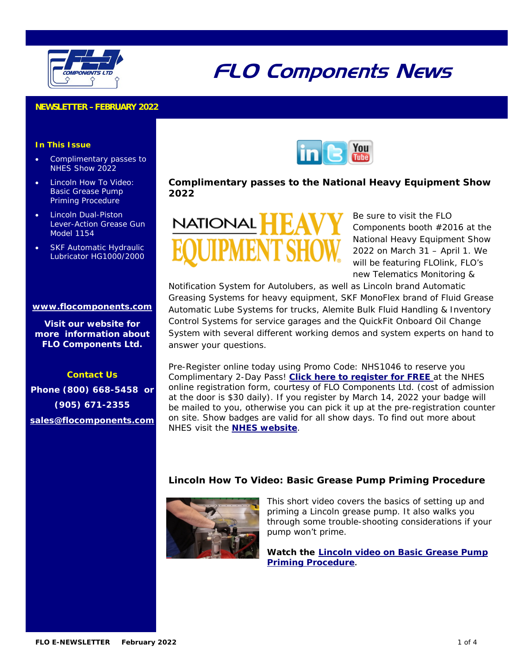

# FLO Components News

### **NEWSLETTER – FEBRUARY 2022**

#### **In This Issue**

- Complimentary passes to NHES Show 2022
- **.** Lincoln How To Video: Basic Grease Pump Priming Procedure
- Lincoln Dual-Piston Lever-Action Grease Gun Model 1154
- SKF Automatic Hydraulic Lubricator HG1000/2000

#### *www.flocomponents.com*

*Visit our website for more information about FLO Components Ltd.* 

**Contact Us**  *Phone (800) 668-5458 or (905) 671-2355 sales@flocomponents.com*



**Complimentary passes to the National Heavy Equipment Show 2022** 



Be sure to visit the FLO Components booth #2016 at the National Heavy Equipment Show 2022 on March 31 – April 1. We will be featuring FLOlink, FLO's new Telematics Monitoring &

Notification System for Autolubers, as well as Lincoln brand Automatic Greasing Systems for heavy equipment, SKF MonoFlex brand of Fluid Grease Automatic Lube Systems for trucks, Alemite Bulk Fluid Handling & Inventory Control Systems for service garages and the QuickFit Onboard Oil Change System with several different working demos and system experts on hand to answer your questions.

Pre-Register online today using Promo Code: NHS1046 to reserve you Complimentary 2-Day Pass! **[Click here to register for FREE](https://secure.masterpromotions.ca/NHES/?NH1046)** at the NHES online registration form, courtesy of FLO Components Ltd. (cost of admission at the door is \$30 daily). If you register by March 14, 2022 your badge will be mailed to you, otherwise you can pick it up at the pre-registration counter on site. Show badges are valid for all show days. To find out more about NHES visit the **[NHES website](http://www.nhes.ca/)**.

#### **Lincoln How To Video: Basic Grease Pump Priming Procedure**



This short video covers the basics of setting up and priming a Lincoln grease pump. It also walks you through some trouble-shooting considerations if your pump won't prime.

**Watch the [Lincoln video on Basic Grease Pump](https://www.youtube.com/watch?v=S8VASUY5Ndo)  Priming Procedure.**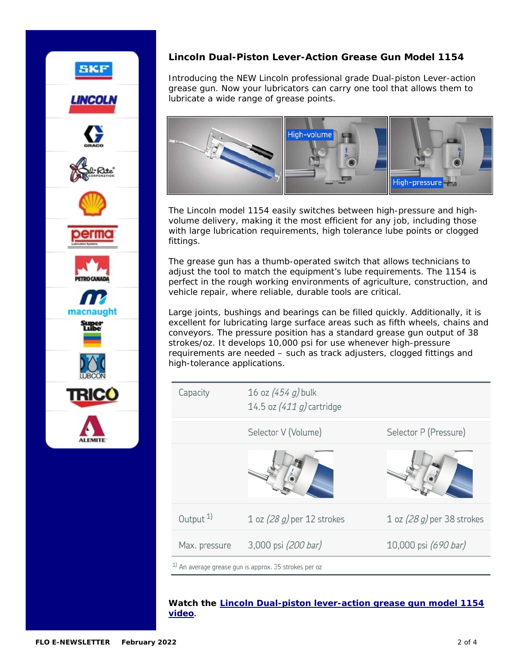

## **Lincoln Dual-Piston Lever-Action Grease Gun Model 1154**

Introducing the NEW Lincoln professional grade Dual-piston Lever-action grease gun. Now your lubricators can carry one tool that allows them to lubricate a wide range of grease points.



The Lincoln model 1154 easily switches between high-pressure and highvolume delivery, making it the most efficient for any job, including those with large lubrication requirements, high tolerance lube points or clogged fittings.

The grease gun has a thumb-operated switch that allows technicians to adjust the tool to match the equipment's lube requirements. The 1154 is perfect in the rough working environments of agriculture, construction, and vehicle repair, where reliable, durable tools are critical.

Large joints, bushings and bearings can be filled quickly. Additionally, it is excellent for lubricating large surface areas such as fifth wheels, chains and conveyors. The pressure position has a standard grease gun output of 38 strokes/oz. It develops 10,000 psi for use whenever high-pressure requirements are needed – such as track adjusters, clogged fittings and high-tolerance applications.

| Capacity             | 16 oz $(454 g)$ bulk<br>14.5 oz $(411 g)$ cartridge              |                              |
|----------------------|------------------------------------------------------------------|------------------------------|
|                      | Selector V (Volume)                                              | Selector P (Pressure)        |
|                      |                                                                  |                              |
| Output <sup>1)</sup> | 1 oz (28 g) per 12 strokes                                       | 1 oz $(28 g)$ per 38 strokes |
| Max. pressure        | 3,000 psi (200 bar)                                              | 10,000 psi (690 bar)         |
|                      | <sup>1)</sup> An average grease gun is approx. 35 strokes per oz |                              |

**Watch the [Lincoln Dual-piston lever-action grease gun model 1154](https://hiresmedia.skf.com/richmedia/prod/094314848a3860c2/094314848a3860c2_1200.mp4)  video.**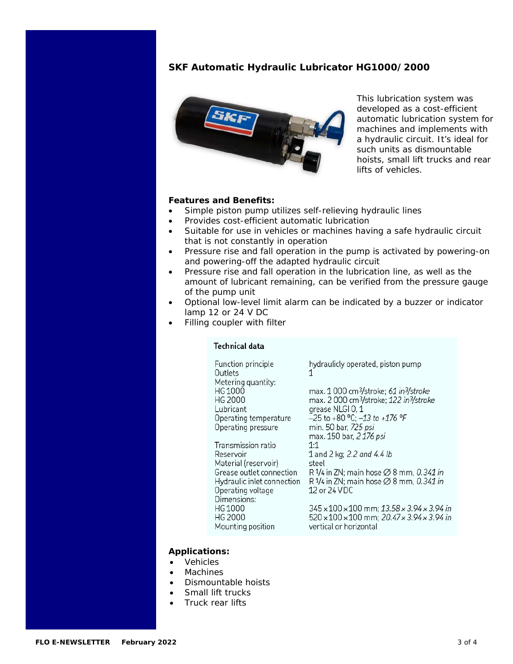## **SKF Automatic Hydraulic Lubricator HG1000/2000**



This lubrication system was developed as a cost-efficient automatic lubrication system for machines and implements with a hydraulic circuit. It's ideal for such units as dismountable hoists, small lift trucks and rear lifts of vehicles.

#### **Features and Benefits:**

- Simple piston pump utilizes self-relieving hydraulic lines
- Provides cost-efficient automatic lubrication
- Suitable for use in vehicles or machines having a safe hydraulic circuit that is not constantly in operation
- Pressure rise and fall operation in the pump is activated by powering-on and powering-off the adapted hydraulic circuit
- Pressure rise and fall operation in the lubrication line, as well as the amount of lubricant remaining, can be verified from the pressure gauge of the pump unit
- Optional low-level limit alarm can be indicated by a buzzer or indicator lamp 12 or 24 V DC
- Filling coupler with filter

## **Technical data**

Function principle Outlets Metering quantity: HG 1000 HG 2000 Lubricant Operating temperature Operating pressure

Transmission ratio

Material (reservoir)

Operating voltage Dimensions: HG 1000

Mounting position

Grease outlet connection

Reservoir

HG 2000

hydraulicly operated, piston pump 1

max. 1 000 cm<sup>3</sup>/stroke: 61 in<sup>3</sup>/stroke max. 2 000 cm<sup>3</sup>/stroke: 122 in<sup>3</sup>/stroke grease NLGI 0.1  $-25$  to +80 °C; -13 to +176 °F min. 50 bar, 725 psi max. 150 bar, 2 176 psi  $1:1$ 1 and 2 kg; 2.2 and 4.4 lb steel R  $1/4$  in ZN; main hose  $\varnothing$  8 mm, 0.341 in Hydraulic inlet connection R  $1/4$  in ZN; main hose  $\varnothing$  8 mm, 0.341 in 12 or 24 VDC

> 345 × 100 × 100 mm; 13.58 × 3.94 × 3.94 in 520 × 100 × 100 mm; 20.47 × 3.94 × 3.94 in vertical or horizontal

### **Applications:**

- Vehicles
- Machines
- Dismountable hoists
- Small lift trucks
- Truck rear lifts